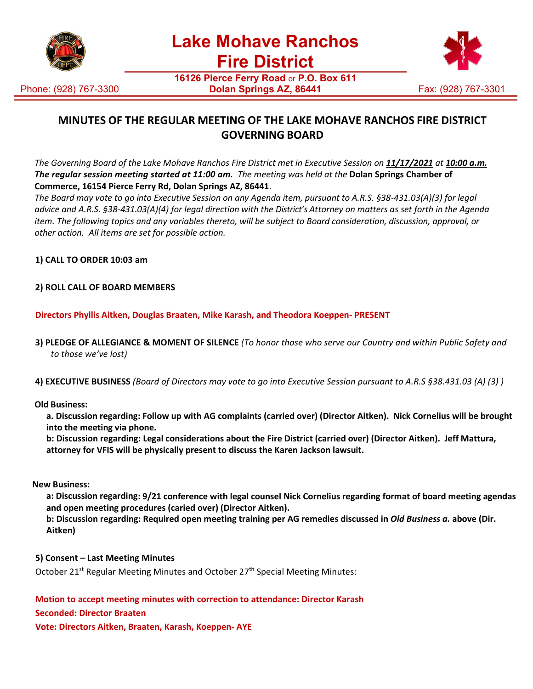



**16126 Pierce Ferry Road** or **P.O. Box 611 Dolan Springs AZ, 86441** Fax: (928) 767-3301

# **MINUTES OF THE REGULAR MEETING OF THE LAKE MOHAVE RANCHOS FIRE DISTRICT GOVERNING BOARD**

The Governing Board of the Lake Mohave Ranchos Fire District met in Executive Session on 11/17/2021 at 10:00 a.m. *The regular session meeting started at 11:00 am. The meeting was held at the* **Dolan Springs Chamber of Commerce, 16154 Pierce Ferry Rd, Dolan Springs AZ, 86441**.

*The Board may vote to go into Executive Session on any Agenda item, pursuant to A.R.S. §38-431.03(A)(3) for legal advice and A.R.S. §38-431.03(A)(4) for legal direction with the District's Attorney on matters as set forth in the Agenda item. The following topics and any variables thereto, will be subject to Board consideration, discussion, approval, or other action. All items are set for possible action.*

**1) CALL TO ORDER 10:03 am**

## **2) ROLL CALL OF BOARD MEMBERS**

**Directors Phyllis Aitken, Douglas Braaten, Mike Karash, and Theodora Koeppen- PRESENT**

- **3) PLEDGE OF ALLEGIANCE & MOMENT OF SILENCE** *(To honor those who serve our Country and within Public Safety and to those we've lost)*
- **4) EXECUTIVE BUSINESS** *(Board of Directors may vote to go into Executive Session pursuant to A.R.S §38.431.03 (A) (3) )*

#### **Old Business:**

**a. Discussion regarding: Follow up with AG complaints (carried over) (Director Aitken). Nick Cornelius will be brought into the meeting via phone.**

**b: Discussion regarding: Legal considerations about the Fire District (carried over) (Director Aitken). Jeff Mattura, attorney for VFIS will be physically present to discuss the Karen Jackson lawsuit.**

#### **New Business:**

**a: Discussion regarding: 9/21 conference with legal counsel Nick Cornelius regarding format of board meeting agendas and open meeting procedures (caried over) (Director Aitken).**

**b: Discussion regarding: Required open meeting training per AG remedies discussed in** *Old Business a.* **above (Dir. Aitken)**

#### **5) Consent – Last Meeting Minutes**

October 21<sup>st</sup> Regular Meeting Minutes and October 27<sup>th</sup> Special Meeting Minutes:

**Motion to accept meeting minutes with correction to attendance: Director Karash**

#### **Seconded: Director Braaten**

**Vote: Directors Aitken, Braaten, Karash, Koeppen- AYE**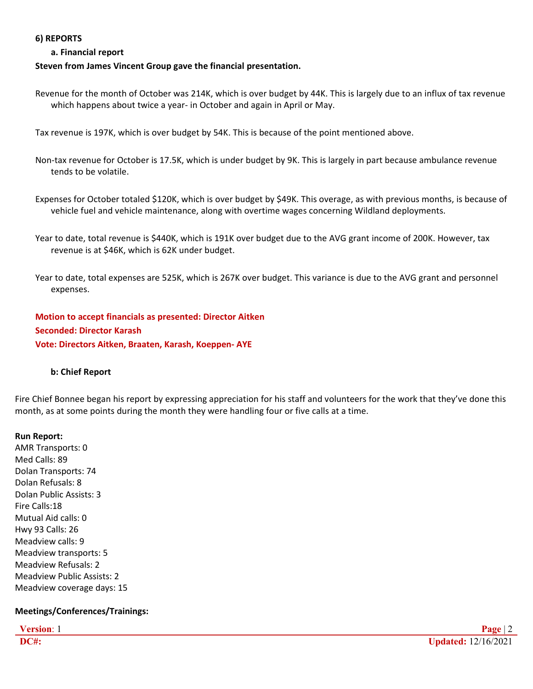#### **6) REPORTS**

### **a. Financial report**

### **Steven from James Vincent Group gave the financial presentation.**

Revenue for the month of October was 214K, which is over budget by 44K. This is largely due to an influx of tax revenue which happens about twice a year- in October and again in April or May.

Tax revenue is 197K, which is over budget by 54K. This is because of the point mentioned above.

- Non-tax revenue for October is 17.5K, which is under budget by 9K. This is largely in part because ambulance revenue tends to be volatile.
- Expenses for October totaled \$120K, which is over budget by \$49K. This overage, as with previous months, is because of vehicle fuel and vehicle maintenance, along with overtime wages concerning Wildland deployments.
- Year to date, total revenue is \$440K, which is 191K over budget due to the AVG grant income of 200K. However, tax revenue is at \$46K, which is 62K under budget.
- Year to date, total expenses are 525K, which is 267K over budget. This variance is due to the AVG grant and personnel expenses.

**Motion to accept financials as presented: Director Aitken Seconded: Director Karash Vote: Directors Aitken, Braaten, Karash, Koeppen- AYE**

#### **b: Chief Report**

Fire Chief Bonnee began his report by expressing appreciation for his staff and volunteers for the work that they've done this month, as at some points during the month they were handling four or five calls at a time.

#### **Run Report:**

AMR Transports: 0 Med Calls: 89 Dolan Transports: 74 Dolan Refusals: 8 Dolan Public Assists: 3 Fire Calls:18 Mutual Aid calls: 0 Hwy 93 Calls: 26 Meadview calls: 9 Meadview transports: 5 Meadview Refusals: 2 Meadview Public Assists: 2 Meadview coverage days: 15

## **Meetings/Conferences/Trainings:**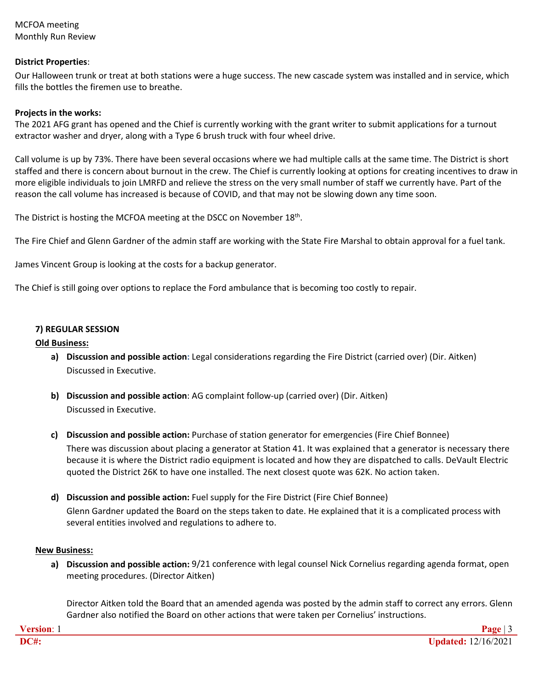MCFOA meeting Monthly Run Review

### **District Properties**:

Our Halloween trunk or treat at both stations were a huge success. The new cascade system was installed and in service, which fills the bottles the firemen use to breathe.

#### **Projects in the works:**

The 2021 AFG grant has opened and the Chief is currently working with the grant writer to submit applications for a turnout extractor washer and dryer, along with a Type 6 brush truck with four wheel drive.

Call volume is up by 73%. There have been several occasions where we had multiple calls at the same time. The District is short staffed and there is concern about burnout in the crew. The Chief is currently looking at options for creating incentives to draw in more eligible individuals to join LMRFD and relieve the stress on the very small number of staff we currently have. Part of the reason the call volume has increased is because of COVID, and that may not be slowing down any time soon.

The District is hosting the MCFOA meeting at the DSCC on November 18<sup>th</sup>.

The Fire Chief and Glenn Gardner of the admin staff are working with the State Fire Marshal to obtain approval for a fuel tank.

James Vincent Group is looking at the costs for a backup generator.

The Chief is still going over options to replace the Ford ambulance that is becoming too costly to repair.

#### **7) REGULAR SESSION**

#### **Old Business:**

- **a) Discussion and possible action:** Legal considerations regarding the Fire District (carried over) (Dir. Aitken) Discussed in Executive.
- **b) Discussion and possible action**: AG complaint follow-up (carried over) (Dir. Aitken) Discussed in Executive.
- **c) Discussion and possible action:** Purchase of station generator for emergencies (Fire Chief Bonnee)

There was discussion about placing a generator at Station 41. It was explained that a generator is necessary there because it is where the District radio equipment is located and how they are dispatched to calls. DeVault Electric quoted the District 26K to have one installed. The next closest quote was 62K. No action taken.

**d) Discussion and possible action:** Fuel supply for the Fire District (Fire Chief Bonnee) Glenn Gardner updated the Board on the steps taken to date. He explained that it is a complicated process with several entities involved and regulations to adhere to.

#### **New Business:**

**a) Discussion and possible action:** 9/21 conference with legal counsel Nick Cornelius regarding agenda format, open meeting procedures. (Director Aitken)

Director Aitken told the Board that an amended agenda was posted by the admin staff to correct any errors. Glenn Gardner also notified the Board on other actions that were taken per Cornelius' instructions.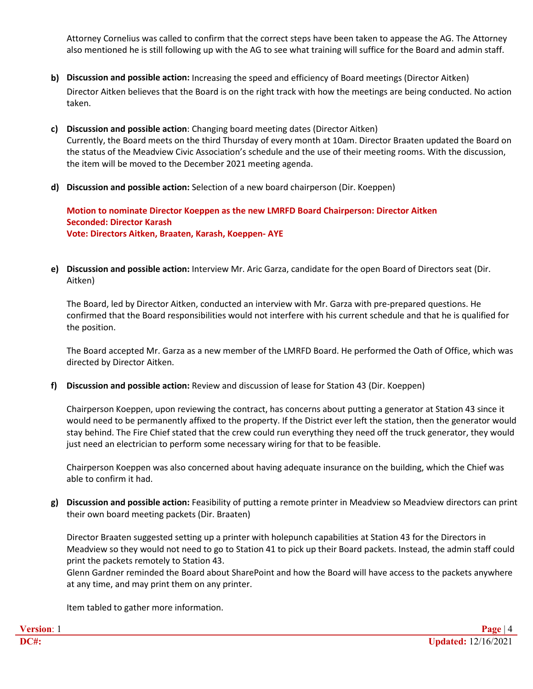Attorney Cornelius was called to confirm that the correct steps have been taken to appease the AG. The Attorney also mentioned he is still following up with the AG to see what training will suffice for the Board and admin staff.

- **b) Discussion and possible action:** Increasing the speed and efficiency of Board meetings (Director Aitken) Director Aitken believes that the Board is on the right track with how the meetings are being conducted. No action taken.
- **c) Discussion and possible action**: Changing board meeting dates (Director Aitken) Currently, the Board meets on the third Thursday of every month at 10am. Director Braaten updated the Board on the status of the Meadview Civic Association's schedule and the use of their meeting rooms. With the discussion, the item will be moved to the December 2021 meeting agenda.
- **d) Discussion and possible action:** Selection of a new board chairperson (Dir. Koeppen)

**Motion to nominate Director Koeppen as the new LMRFD Board Chairperson: Director Aitken Seconded: Director Karash Vote: Directors Aitken, Braaten, Karash, Koeppen- AYE**

**e) Discussion and possible action:** Interview Mr. Aric Garza, candidate for the open Board of Directors seat (Dir. Aitken)

The Board, led by Director Aitken, conducted an interview with Mr. Garza with pre-prepared questions. He confirmed that the Board responsibilities would not interfere with his current schedule and that he is qualified for the position.

The Board accepted Mr. Garza as a new member of the LMRFD Board. He performed the Oath of Office, which was directed by Director Aitken.

**f) Discussion and possible action:** Review and discussion of lease for Station 43 (Dir. Koeppen)

Chairperson Koeppen, upon reviewing the contract, has concerns about putting a generator at Station 43 since it would need to be permanently affixed to the property. If the District ever left the station, then the generator would stay behind. The Fire Chief stated that the crew could run everything they need off the truck generator, they would just need an electrician to perform some necessary wiring for that to be feasible.

Chairperson Koeppen was also concerned about having adequate insurance on the building, which the Chief was able to confirm it had.

**g) Discussion and possible action:** Feasibility of putting a remote printer in Meadview so Meadview directors can print their own board meeting packets (Dir. Braaten)

Director Braaten suggested setting up a printer with holepunch capabilities at Station 43 for the Directors in Meadview so they would not need to go to Station 41 to pick up their Board packets. Instead, the admin staff could print the packets remotely to Station 43.

Glenn Gardner reminded the Board about SharePoint and how the Board will have access to the packets anywhere at any time, and may print them on any printer.

Item tabled to gather more information.